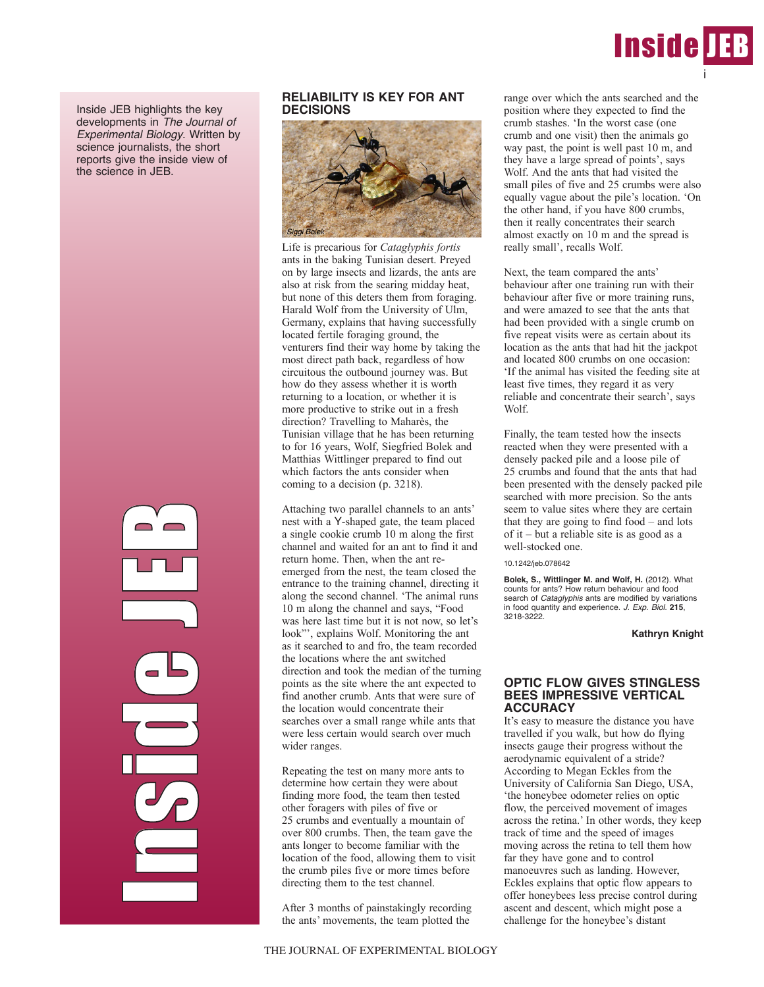

Inside JEB highlights the key developments in *The Journal of Experimental Biology*. Written by science journalists, the short reports give the inside view of the science in JEB.

> **Industrial n**  $\mathcal{C}_{\mathcal{P}}$ in 1999 and 1999 d<br>J e J EP)

# **RELIABILITY IS KEY FOR ANT DECISIONS**



Life is precarious for *Cataglyphis fortis* ants in the baking Tunisian desert. Preyed on by large insects and lizards, the ants are also at risk from the searing midday heat, but none of this deters them from foraging. Harald Wolf from the University of Ulm, Germany, explains that having successfully located fertile foraging ground, the venturers find their way home by taking the most direct path back, regardless of how circuitous the outbound journey was. But how do they assess whether it is worth returning to a location, or whether it is more productive to strike out in a fresh direction? Travelling to Maharès, the Tunisian village that he has been returning to for 16 years, Wolf, Siegfried Bolek and Matthias Wittlinger prepared to find out which factors the ants consider when coming to a decision (p. 3218).

Attaching two parallel channels to an ants' nest with a Y-shaped gate, the team placed a single cookie crumb 10 m along the first channel and waited for an ant to find it and return home. Then, when the ant reemerged from the nest, the team closed the entrance to the training channel, directing it along the second channel. 'The animal runs 10 m along the channel and says, "Food was here last time but it is not now, so let's look"', explains Wolf. Monitoring the ant as it searched to and fro, the team recorded the locations where the ant switched direction and took the median of the turning points as the site where the ant expected to find another crumb. Ants that were sure of the location would concentrate their searches over a small range while ants that were less certain would search over much wider ranges.

Repeating the test on many more ants to determine how certain they were about finding more food, the team then tested other foragers with piles of five or 25 crumbs and eventually a mountain of over 800 crumbs. Then, the team gave the ants longer to become familiar with the location of the food, allowing them to visit the crumb piles five or more times before directing them to the test channel.

After 3 months of painstakingly recording the ants' movements, the team plotted the

range over which the ants searched and the position where they expected to find the crumb stashes. 'In the worst case (one crumb and one visit) then the animals go way past, the point is well past 10 m, and they have a large spread of points', says Wolf. And the ants that had visited the small piles of five and 25 crumbs were also equally vague about the pile's location. 'On the other hand, if you have 800 crumbs, then it really concentrates their search almost exactly on 10 m and the spread is really small', recalls Wolf.

Next, the team compared the ants' behaviour after one training run with their behaviour after five or more training runs, and were amazed to see that the ants that had been provided with a single crumb on five repeat visits were as certain about its location as the ants that had hit the jackpot and located 800 crumbs on one occasion: 'If the animal has visited the feeding site at least five times, they regard it as very reliable and concentrate their search', says Wolf.

Finally, the team tested how the insects reacted when they were presented with a densely packed pile and a loose pile of 25 crumbs and found that the ants that had been presented with the densely packed pile searched with more precision. So the ants seem to value sites where they are certain that they are going to find food – and lots of it – but a reliable site is as good as a well-stocked one.

#### 10.1242/jeb.078642

**Bolek, S., Wittlinger M. and Wolf, H.** (2012). What counts for ants? How return behaviour and food search of *Cataglyphis* ants are modified by variations in food quantity and experience. *J. Exp. Biol.* **215**, 3218-3222.

### **Kathryn Knight**

### **OPTIC FLOW GIVES STINGLESS BEES IMPRESSIVE VERTICAL ACCURACY**

It's easy to measure the distance you have travelled if you walk, but how do flying insects gauge their progress without the aerodynamic equivalent of a stride? According to Megan Eckles from the University of California San Diego, USA, 'the honeybee odometer relies on optic flow, the perceived movement of images across the retina.' In other words, they keep track of time and the speed of images moving across the retina to tell them how far they have gone and to control manoeuvres such as landing. However, Eckles explains that optic flow appears to offer honeybees less precise control during ascent and descent, which might pose a challenge for the honeybee's distant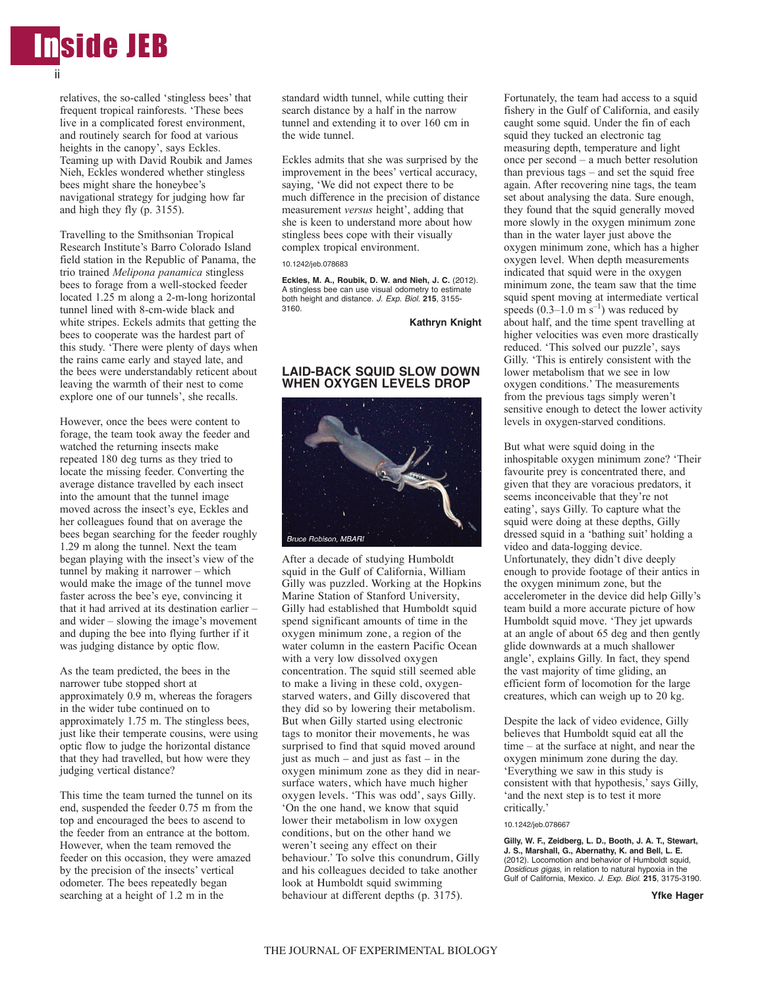

relatives, the so-called 'stingless bees' that frequent tropical rainforests. 'These bees live in a complicated forest environment, and routinely search for food at various heights in the canopy', says Eckles. Teaming up with David Roubik and James Nieh, Eckles wondered whether stingless bees might share the honeybee's navigational strategy for judging how far and high they fly (p. 3155).

Travelling to the Smithsonian Tropical Research Institute's Barro Colorado Island field station in the Republic of Panama, the trio trained *Melipona panamica* stingless bees to forage from a well-stocked feeder located 1.25 m along a 2-m-long horizontal tunnel lined with 8-cm-wide black and white stripes. Eckels admits that getting the bees to cooperate was the hardest part of this study. 'There were plenty of days when the rains came early and stayed late, and the bees were understandably reticent about leaving the warmth of their nest to come explore one of our tunnels', she recalls.

However, once the bees were content to forage, the team took away the feeder and watched the returning insects make repeated 180 deg turns as they tried to locate the missing feeder. Converting the average distance travelled by each insect into the amount that the tunnel image moved across the insect's eye, Eckles and her colleagues found that on average the bees began searching for the feeder roughly 1.29 m along the tunnel. Next the team began playing with the insect's view of the tunnel by making it narrower – which would make the image of the tunnel move faster across the bee's eye, convincing it that it had arrived at its destination earlier – and wider – slowing the image's movement and duping the bee into flying further if it was judging distance by optic flow.

As the team predicted, the bees in the narrower tube stopped short at approximately 0.9 m, whereas the foragers in the wider tube continued on to approximately 1.75 m. The stingless bees, just like their temperate cousins, were using optic flow to judge the horizontal distance that they had travelled, but how were they judging vertical distance?

This time the team turned the tunnel on its end, suspended the feeder 0.75 m from the top and encouraged the bees to ascend to the feeder from an entrance at the bottom. However, when the team removed the feeder on this occasion, they were amazed by the precision of the insects' vertical odometer. The bees repeatedly began searching at a height of 1.2 m in the

standard width tunnel, while cutting their search distance by a half in the narrow tunnel and extending it to over 160 cm in the wide tunnel.

Eckles admits that she was surprised by the improvement in the bees' vertical accuracy, saying, 'We did not expect there to be much difference in the precision of distance measurement *versus* height', adding that she is keen to understand more about how stingless bees cope with their visually complex tropical environment.

#### 10.1242/jeb.078683

**Eckles, M. A., Roubik, D. W. and Nieh, J. C.** (2012). A stingless bee can use visual odometry to estimate both height and distance. *J. Exp. Biol.* **215**, 3155- 3160.

**Kathryn Knight**

## **LAID-BACK SQUID SLOW DOWN WHEN OXYGEN LEVELS DROP**



After a decade of studying Humboldt squid in the Gulf of California, William Gilly was puzzled. Working at the Hopkins Marine Station of Stanford University, Gilly had established that Humboldt squid spend significant amounts of time in the oxygen minimum zone, a region of the water column in the eastern Pacific Ocean with a very low dissolved oxygen concentration. The squid still seemed able to make a living in these cold, oxygenstarved waters, and Gilly discovered that they did so by lowering their metabolism. But when Gilly started using electronic tags to monitor their movements, he was surprised to find that squid moved around just as much – and just as fast – in the oxygen minimum zone as they did in nearsurface waters, which have much higher oxygen levels. 'This was odd', says Gilly. 'On the one hand, we know that squid lower their metabolism in low oxygen conditions, but on the other hand we weren't seeing any effect on their behaviour.' To solve this conundrum, Gilly and his colleagues decided to take another look at Humboldt squid swimming behaviour at different depths (p. 3175).

Fortunately, the team had access to a squid fishery in the Gulf of California, and easily caught some squid. Under the fin of each squid they tucked an electronic tag measuring depth, temperature and light once per second – a much better resolution than previous tags – and set the squid free again. After recovering nine tags, the team set about analysing the data. Sure enough, they found that the squid generally moved more slowly in the oxygen minimum zone than in the water layer just above the oxygen minimum zone, which has a higher oxygen level. When depth measurements indicated that squid were in the oxygen minimum zone, the team saw that the time squid spent moving at intermediate vertical speeds  $(0.3-1.0 \text{ m s}^{-1})$  was reduced by about half, and the time spent travelling at higher velocities was even more drastically reduced. 'This solved our puzzle', says Gilly. 'This is entirely consistent with the lower metabolism that we see in low oxygen conditions.' The measurements from the previous tags simply weren't sensitive enough to detect the lower activity levels in oxygen-starved conditions.

But what were squid doing in the inhospitable oxygen minimum zone? 'Their favourite prey is concentrated there, and given that they are voracious predators, it seems inconceivable that they're not eating', says Gilly. To capture what the squid were doing at these depths, Gilly dressed squid in a 'bathing suit' holding a video and data-logging device. Unfortunately, they didn't dive deeply enough to provide footage of their antics in the oxygen minimum zone, but the accelerometer in the device did help Gilly's team build a more accurate picture of how Humboldt squid move. 'They jet upwards at an angle of about 65 deg and then gently glide downwards at a much shallower angle', explains Gilly. In fact, they spend the vast majority of time gliding, an efficient form of locomotion for the large creatures, which can weigh up to 20 kg.

Despite the lack of video evidence, Gilly believes that Humboldt squid eat all the time – at the surface at night, and near the oxygen minimum zone during the day. 'Everything we saw in this study is consistent with that hypothesis,' says Gilly, 'and the next step is to test it more critically.'

10.1242/jeb.078667

**Gilly, W. F., Zeidberg, L. D., Booth, J. A. T., Stewart, J. S., Marshall, G., Abernathy, K. and Bell, L. E.** (2012). Locomotion and behavior of Humboldt squid. *Dosidicus gigas*, in relation to natural hypoxia in the Gulf of California, Mexico. *J. Exp. Biol.* **215**, 3175-3190.

**Yfke Hager**